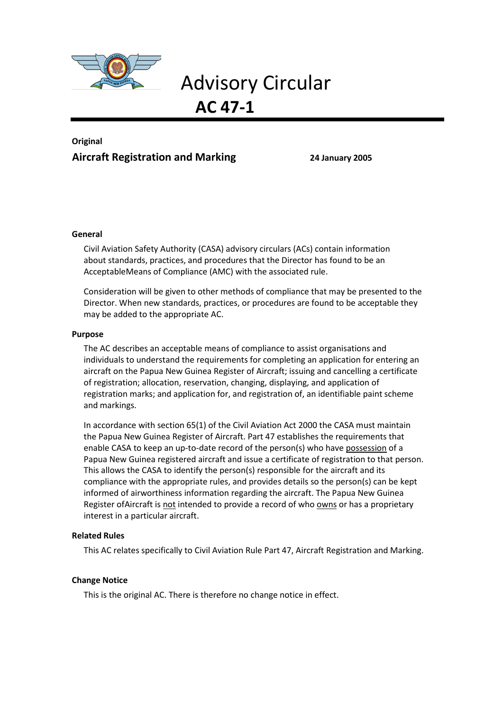

Advisory Circular **AC 47-1**

### **Original Aircraft Registration and Marking 24 January 2005**

#### **General**

Civil Aviation Safety Authority (CASA) advisory circulars (ACs) contain information about standards, practices, and procedures that the Director has found to be an AcceptableMeans of Compliance (AMC) with the associated rule.

Consideration will be given to other methods of compliance that may be presented to the Director. When new standards, practices, or procedures are found to be acceptable they may be added to the appropriate AC.

#### **Purpose**

The AC describes an acceptable means of compliance to assist organisations and individuals to understand the requirements for completing an application for entering an aircraft on the Papua New Guinea Register of Aircraft; issuing and cancelling a certificate of registration; allocation, reservation, changing, displaying, and application of registration marks; and application for, and registration of, an identifiable paint scheme and markings.

In accordance with section 65(1) of the Civil Aviation Act 2000 the CASA must maintain the Papua New Guinea Register of Aircraft. Part 47 establishes the requirements that enable CASA to keep an up-to-date record of the person(s) who have possession of a Papua New Guinea registered aircraft and issue a certificate of registration to that person. This allows the CASA to identify the person(s) responsible for the aircraft and its compliance with the appropriate rules, and provides details so the person(s) can be kept informed of airworthiness information regarding the aircraft. The Papua New Guinea Register ofAircraft is not intended to provide a record of who owns or has a proprietary interest in a particular aircraft.

#### **Related Rules**

This AC relates specifically to Civil Aviation Rule Part 47, Aircraft Registration and Marking.

#### **Change Notice**

This is the original AC. There is therefore no change notice in effect.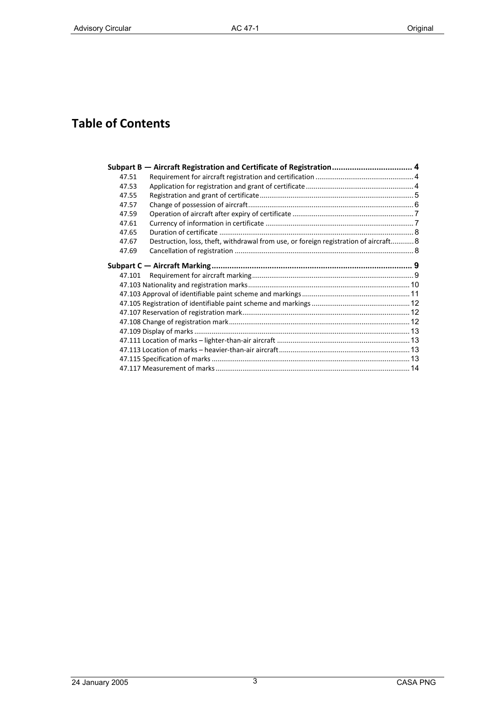# **Table of Contents**

|        | Subpart B — Aircraft Registration and Certificate of Registration 4                  |
|--------|--------------------------------------------------------------------------------------|
| 47.51  |                                                                                      |
| 47.53  |                                                                                      |
| 47.55  |                                                                                      |
| 47.57  |                                                                                      |
| 47.59  |                                                                                      |
| 47.61  |                                                                                      |
| 47.65  |                                                                                      |
| 47.67  | Destruction, loss, theft, withdrawal from use, or foreign registration of aircraft 8 |
| 47.69  |                                                                                      |
|        |                                                                                      |
|        |                                                                                      |
| 47.101 |                                                                                      |
|        |                                                                                      |
|        |                                                                                      |
|        |                                                                                      |
|        |                                                                                      |
|        |                                                                                      |
|        |                                                                                      |
|        |                                                                                      |
|        |                                                                                      |
|        |                                                                                      |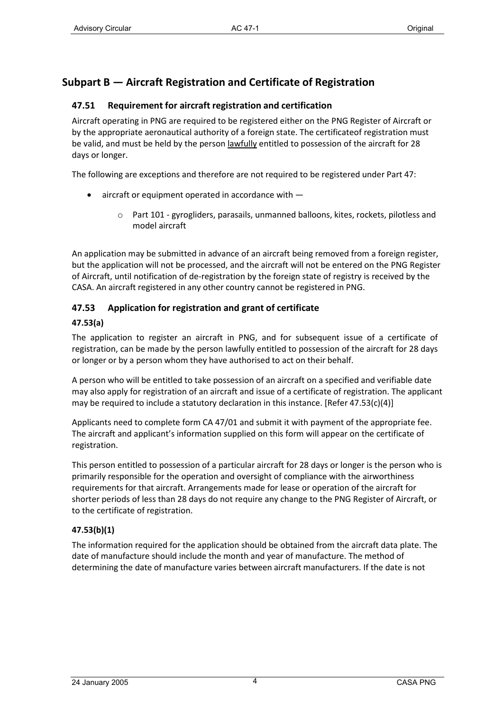# <span id="page-2-1"></span><span id="page-2-0"></span>**Subpart B — Aircraft Registration and Certificate of Registration**

#### **47.51 Requirement for aircraft registration and certification**

Aircraft operating in PNG are required to be registered either on the PNG Register of Aircraft or by the appropriate aeronautical authority of a foreign state. The certificateof registration must be valid, and must be held by the person lawfully entitled to possession of the aircraft for 28 days or longer.

The following are exceptions and therefore are not required to be registered under Part 47:

- aircraft or equipment operated in accordance with
	- o Part 101 gyrogliders, parasails, unmanned balloons, kites, rockets, pilotless and model aircraft

An application may be submitted in advance of an aircraft being removed from a foreign register, but the application will not be processed, and the aircraft will not be entered on the PNG Register of Aircraft, until notification of de-registration by the foreign state of registry is received by the CASA. An aircraft registered in any other country cannot be registered in PNG.

### <span id="page-2-2"></span>**47.53 Application for registration and grant of certificate**

#### **47.53(a)**

The application to register an aircraft in PNG, and for subsequent issue of a certificate of registration, can be made by the person lawfully entitled to possession of the aircraft for 28 days or longer or by a person whom they have authorised to act on their behalf.

A person who will be entitled to take possession of an aircraft on a specified and verifiable date may also apply for registration of an aircraft and issue of a certificate of registration. The applicant may be required to include a statutory declaration in this instance. [Refer 47.53(c)(4)]

Applicants need to complete form CA 47/01 and submit it with payment of the appropriate fee. The aircraft and applicant's information supplied on this form will appear on the certificate of registration.

This person entitled to possession of a particular aircraft for 28 days or longer is the person who is primarily responsible for the operation and oversight of compliance with the airworthiness requirements for that aircraft. Arrangements made for lease or operation of the aircraft for shorter periods of less than 28 days do not require any change to the PNG Register of Aircraft, or to the certificate of registration.

#### **47.53(b)(1)**

The information required for the application should be obtained from the aircraft data plate. The date of manufacture should include the month and year of manufacture. The method of determining the date of manufacture varies between aircraft manufacturers. If the date is not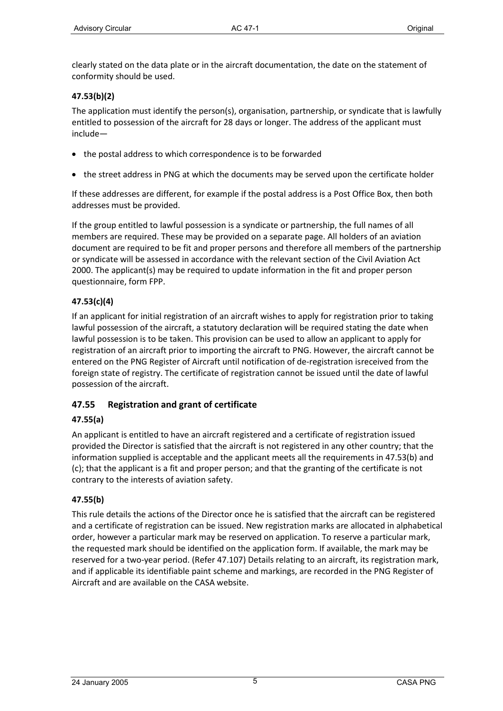clearly stated on the data plate or in the aircraft documentation, the date on the statement of conformity should be used.

#### **47.53(b)(2)**

The application must identify the person(s), organisation, partnership, or syndicate that is lawfully entitled to possession of the aircraft for 28 days or longer. The address of the applicant must include—

- the postal address to which correspondence is to be forwarded
- the street address in PNG at which the documents may be served upon the certificate holder

If these addresses are different, for example if the postal address is a Post Office Box, then both addresses must be provided.

If the group entitled to lawful possession is a syndicate or partnership, the full names of all members are required. These may be provided on a separate page. All holders of an aviation document are required to be fit and proper persons and therefore all members of the partnership or syndicate will be assessed in accordance with the relevant section of the Civil Aviation Act 2000. The applicant(s) may be required to update information in the fit and proper person questionnaire, form FPP.

#### **47.53(c)(4)**

If an applicant for initial registration of an aircraft wishes to apply for registration prior to taking lawful possession of the aircraft, a statutory declaration will be required stating the date when lawful possession is to be taken. This provision can be used to allow an applicant to apply for registration of an aircraft prior to importing the aircraft to PNG. However, the aircraft cannot be entered on the PNG Register of Aircraft until notification of de-registration isreceived from the foreign state of registry. The certificate of registration cannot be issued until the date of lawful possession of the aircraft.

#### <span id="page-3-0"></span>**47.55 Registration and grant of certificate**

#### **47.55(a)**

An applicant is entitled to have an aircraft registered and a certificate of registration issued provided the Director is satisfied that the aircraft is not registered in any other country; that the information supplied is acceptable and the applicant meets all the requirements in 47.53(b) and (c); that the applicant is a fit and proper person; and that the granting of the certificate is not contrary to the interests of aviation safety.

#### **47.55(b)**

This rule details the actions of the Director once he is satisfied that the aircraft can be registered and a certificate of registration can be issued. New registration marks are allocated in alphabetical order, however a particular mark may be reserved on application. To reserve a particular mark, the requested mark should be identified on the application form. If available, the mark may be reserved for a two-year period. (Refer 47.107) Details relating to an aircraft, its registration mark, and if applicable its identifiable paint scheme and markings, are recorded in the PNG Register of Aircraft and are available on the CASA website.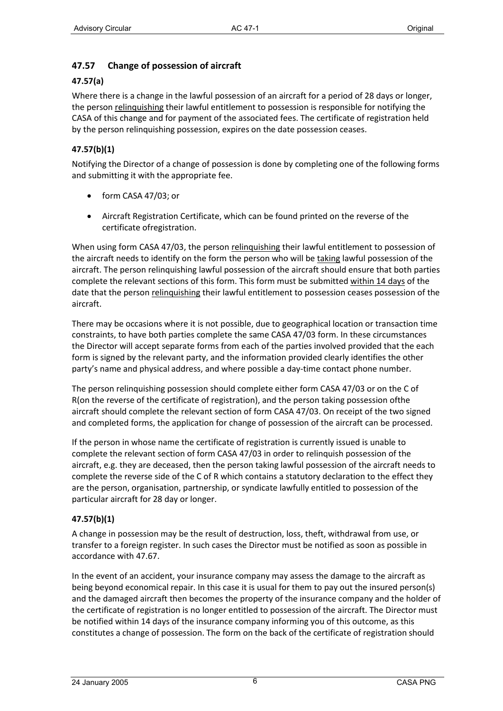#### <span id="page-4-0"></span>**47.57 Change of possession of aircraft**

#### **47.57(a)**

Where there is a change in the lawful possession of an aircraft for a period of 28 days or longer, the person relinquishing their lawful entitlement to possession is responsible for notifying the CASA of this change and for payment of the associated fees. The certificate of registration held by the person relinquishing possession, expires on the date possession ceases.

#### **47.57(b)(1)**

Notifying the Director of a change of possession is done by completing one of the following forms and submitting it with the appropriate fee.

- form CASA 47/03; or
- Aircraft Registration Certificate, which can be found printed on the reverse of the certificate ofregistration.

When using form CASA 47/03, the person relinquishing their lawful entitlement to possession of the aircraft needs to identify on the form the person who will be taking lawful possession of the aircraft. The person relinquishing lawful possession of the aircraft should ensure that both parties complete the relevant sections of this form. This form must be submitted within 14 days of the date that the person relinquishing their lawful entitlement to possession ceases possession of the aircraft.

There may be occasions where it is not possible, due to geographical location or transaction time constraints, to have both parties complete the same CASA 47/03 form. In these circumstances the Director will accept separate forms from each of the parties involved provided that the each form is signed by the relevant party, and the information provided clearly identifies the other party's name and physical address, and where possible a day-time contact phone number.

The person relinquishing possession should complete either form CASA 47/03 or on the C of R(on the reverse of the certificate of registration), and the person taking possession ofthe aircraft should complete the relevant section of form CASA 47/03. On receipt of the two signed and completed forms, the application for change of possession of the aircraft can be processed.

If the person in whose name the certificate of registration is currently issued is unable to complete the relevant section of form CASA 47/03 in order to relinquish possession of the aircraft, e.g. they are deceased, then the person taking lawful possession of the aircraft needs to complete the reverse side of the C of R which contains a statutory declaration to the effect they are the person, organisation, partnership, or syndicate lawfully entitled to possession of the particular aircraft for 28 day or longer.

#### **47.57(b)(1)**

A change in possession may be the result of destruction, loss, theft, withdrawal from use, or transfer to a foreign register. In such cases the Director must be notified as soon as possible in accordance with 47.67.

In the event of an accident, your insurance company may assess the damage to the aircraft as being beyond economical repair. In this case it is usual for them to pay out the insured person(s) and the damaged aircraft then becomes the property of the insurance company and the holder of the certificate of registration is no longer entitled to possession of the aircraft. The Director must be notified within 14 days of the insurance company informing you of this outcome, as this constitutes a change of possession. The form on the back of the certificate of registration should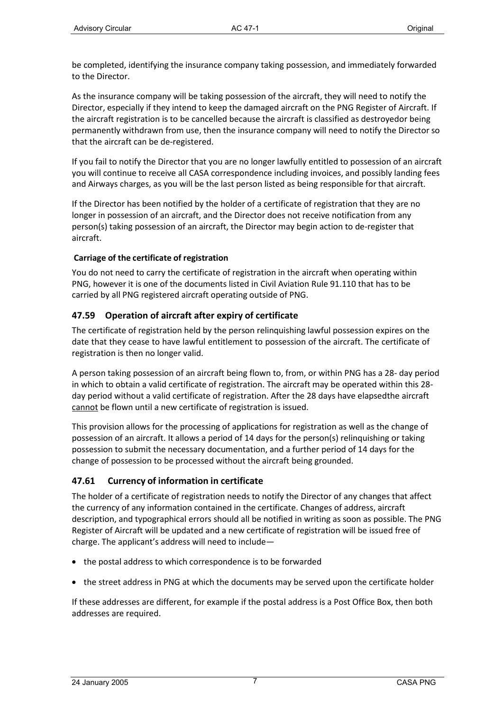be completed, identifying the insurance company taking possession, and immediately forwarded to the Director.

As the insurance company will be taking possession of the aircraft, they will need to notify the Director, especially if they intend to keep the damaged aircraft on the PNG Register of Aircraft. If the aircraft registration is to be cancelled because the aircraft is classified as destroyedor being permanently withdrawn from use, then the insurance company will need to notify the Director so that the aircraft can be de-registered.

If you fail to notify the Director that you are no longer lawfully entitled to possession of an aircraft you will continue to receive all CASA correspondence including invoices, and possibly landing fees and Airways charges, as you will be the last person listed as being responsible for that aircraft.

If the Director has been notified by the holder of a certificate of registration that they are no longer in possession of an aircraft, and the Director does not receive notification from any person(s) taking possession of an aircraft, the Director may begin action to de-register that aircraft.

#### **Carriage of the certificate of registration**

You do not need to carry the certificate of registration in the aircraft when operating within PNG, however it is one of the documents listed in Civil Aviation Rule 91.110 that has to be carried by all PNG registered aircraft operating outside of PNG.

#### <span id="page-5-0"></span>**47.59 Operation of aircraft after expiry of certificate**

The certificate of registration held by the person relinquishing lawful possession expires on the date that they cease to have lawful entitlement to possession of the aircraft. The certificate of registration is then no longer valid.

A person taking possession of an aircraft being flown to, from, or within PNG has a 28- day period in which to obtain a valid certificate of registration. The aircraft may be operated within this 28 day period without a valid certificate of registration. After the 28 days have elapsedthe aircraft cannot be flown until a new certificate of registration is issued.

This provision allows for the processing of applications for registration as well as the change of possession of an aircraft. It allows a period of 14 days for the person(s) relinquishing or taking possession to submit the necessary documentation, and a further period of 14 days for the change of possession to be processed without the aircraft being grounded.

#### <span id="page-5-1"></span>**47.61 Currency of information in certificate**

The holder of a certificate of registration needs to notify the Director of any changes that affect the currency of any information contained in the certificate. Changes of address, aircraft description, and typographical errors should all be notified in writing as soon as possible. The PNG Register of Aircraft will be updated and a new certificate of registration will be issued free of charge. The applicant's address will need to include—

- the postal address to which correspondence is to be forwarded
- the street address in PNG at which the documents may be served upon the certificate holder

If these addresses are different, for example if the postal address is a Post Office Box, then both addresses are required.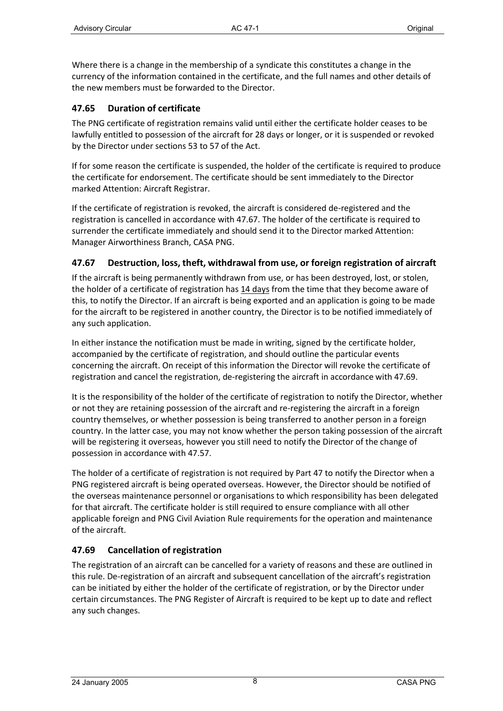Where there is a change in the membership of a syndicate this constitutes a change in the currency of the information contained in the certificate, and the full names and other details of the new members must be forwarded to the Director.

#### <span id="page-6-0"></span>**47.65 Duration of certificate**

The PNG certificate of registration remains valid until either the certificate holder ceases to be lawfully entitled to possession of the aircraft for 28 days or longer, or it is suspended or revoked by the Director under sections 53 to 57 of the Act.

If for some reason the certificate is suspended, the holder of the certificate is required to produce the certificate for endorsement. The certificate should be sent immediately to the Director marked Attention: Aircraft Registrar.

If the certificate of registration is revoked, the aircraft is considered de-registered and the registration is cancelled in accordance with 47.67. The holder of the certificate is required to surrender the certificate immediately and should send it to the Director marked Attention: Manager Airworthiness Branch, CASA PNG.

#### <span id="page-6-1"></span>**47.67 Destruction, loss, theft, withdrawal from use, or foreign registration of aircraft**

If the aircraft is being permanently withdrawn from use, or has been destroyed, lost, or stolen, the holder of a certificate of registration has 14 days from the time that they become aware of this, to notify the Director. If an aircraft is being exported and an application is going to be made for the aircraft to be registered in another country, the Director is to be notified immediately of any such application.

In either instance the notification must be made in writing, signed by the certificate holder, accompanied by the certificate of registration, and should outline the particular events concerning the aircraft. On receipt of this information the Director will revoke the certificate of registration and cancel the registration, de-registering the aircraft in accordance with 47.69.

It is the responsibility of the holder of the certificate of registration to notify the Director, whether or not they are retaining possession of the aircraft and re-registering the aircraft in a foreign country themselves, or whether possession is being transferred to another person in a foreign country. In the latter case, you may not know whether the person taking possession of the aircraft will be registering it overseas, however you still need to notify the Director of the change of possession in accordance with 47.57.

The holder of a certificate of registration is not required by Part 47 to notify the Director when a PNG registered aircraft is being operated overseas. However, the Director should be notified of the overseas maintenance personnel or organisations to which responsibility has been delegated for that aircraft. The certificate holder is still required to ensure compliance with all other applicable foreign and PNG Civil Aviation Rule requirements for the operation and maintenance of the aircraft.

#### <span id="page-6-2"></span>**47.69 Cancellation of registration**

The registration of an aircraft can be cancelled for a variety of reasons and these are outlined in this rule. De-registration of an aircraft and subsequent cancellation of the aircraft's registration can be initiated by either the holder of the certificate of registration, or by the Director under certain circumstances. The PNG Register of Aircraft is required to be kept up to date and reflect any such changes.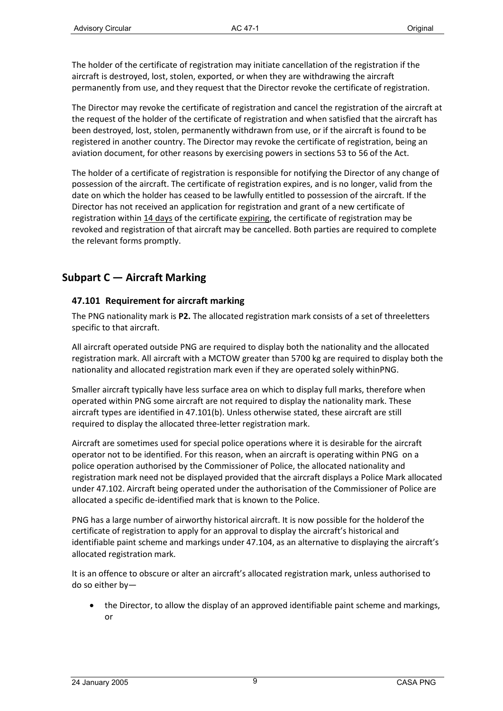The holder of the certificate of registration may initiate cancellation of the registration if the aircraft is destroyed, lost, stolen, exported, or when they are withdrawing the aircraft permanently from use, and they request that the Director revoke the certificate of registration.

The Director may revoke the certificate of registration and cancel the registration of the aircraft at the request of the holder of the certificate of registration and when satisfied that the aircraft has been destroyed, lost, stolen, permanently withdrawn from use, or if the aircraft is found to be registered in another country. The Director may revoke the certificate of registration, being an aviation document, for other reasons by exercising powers in sections 53 to 56 of the Act.

The holder of a certificate of registration is responsible for notifying the Director of any change of possession of the aircraft. The certificate of registration expires, and is no longer, valid from the date on which the holder has ceased to be lawfully entitled to possession of the aircraft. If the Director has not received an application for registration and grant of a new certificate of registration within 14 days of the certificate expiring, the certificate of registration may be revoked and registration of that aircraft may be cancelled. Both parties are required to complete the relevant forms promptly.

## <span id="page-7-1"></span><span id="page-7-0"></span>**Subpart C — Aircraft Marking**

#### **47.101 Requirement for aircraft marking**

The PNG nationality mark is **P2.** The allocated registration mark consists of a set of threeletters specific to that aircraft.

All aircraft operated outside PNG are required to display both the nationality and the allocated registration mark. All aircraft with a MCTOW greater than 5700 kg are required to display both the nationality and allocated registration mark even if they are operated solely withinPNG.

Smaller aircraft typically have less surface area on which to display full marks, therefore when operated within PNG some aircraft are not required to display the nationality mark. These aircraft types are identified in 47.101(b). Unless otherwise stated, these aircraft are still required to display the allocated three-letter registration mark.

Aircraft are sometimes used for special police operations where it is desirable for the aircraft operator not to be identified. For this reason, when an aircraft is operating within PNG on a police operation authorised by the Commissioner of Police, the allocated nationality and registration mark need not be displayed provided that the aircraft displays a Police Mark allocated under 47.102. Aircraft being operated under the authorisation of the Commissioner of Police are allocated a specific de-identified mark that is known to the Police.

PNG has a large number of airworthy historical aircraft. It is now possible for the holderof the certificate of registration to apply for an approval to display the aircraft's historical and identifiable paint scheme and markings under 47.104, as an alternative to displaying the aircraft's allocated registration mark.

It is an offence to obscure or alter an aircraft's allocated registration mark, unless authorised to do so either by—

• the Director, to allow the display of an approved identifiable paint scheme and markings, or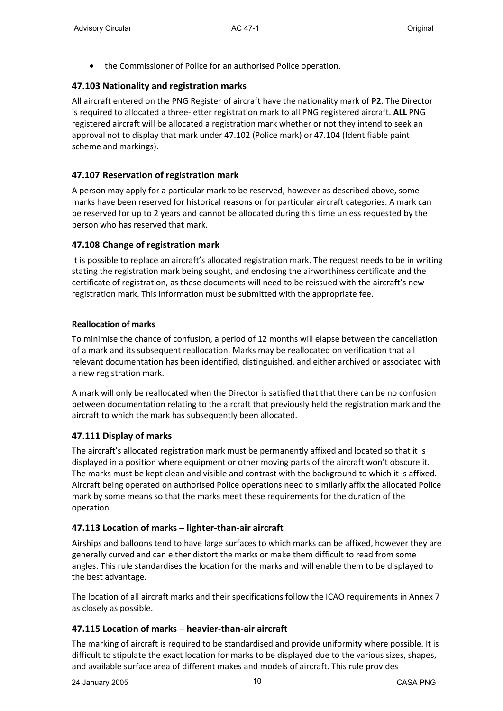• the Commissioner of Police for an authorised Police operation.

#### <span id="page-8-0"></span>**47.103 Nationality and registration marks**

All aircraft entered on the PNG Register of aircraft have the nationality mark of **P2**. The Director is required to allocated a three-letter registration mark to all PNG registered aircraft. **ALL** PNG registered aircraft will be allocated a registration mark whether or not they intend to seek an approval not to display that mark under 47.102 (Police mark) or 47.104 (Identifiable paint scheme and markings).

#### <span id="page-8-1"></span>**47.107 Reservation of registration mark**

A person may apply for a particular mark to be reserved, however as described above, some marks have been reserved for historical reasons or for particular aircraft categories. A mark can be reserved for up to 2 years and cannot be allocated during this time unless requested by the person who has reserved that mark.

#### <span id="page-8-2"></span>**47.108 Change of registration mark**

It is possible to replace an aircraft's allocated registration mark. The request needs to be in writing stating the registration mark being sought, and enclosing the airworthiness certificate and the certificate of registration, as these documents will need to be reissued with the aircraft's new registration mark. This information must be submitted with the appropriate fee.

#### **Reallocation of marks**

To minimise the chance of confusion, a period of 12 months will elapse between the cancellation of a mark and its subsequent reallocation. Marks may be reallocated on verification that all relevant documentation has been identified, distinguished, and either archived or associated with a new registration mark.

A mark will only be reallocated when the Director is satisfied that that there can be no confusion between documentation relating to the aircraft that previously held the registration mark and the aircraft to which the mark has subsequently been allocated.

### <span id="page-8-3"></span>**47.111 Display of marks**

The aircraft's allocated registration mark must be permanently affixed and located so that it is displayed in a position where equipment or other moving parts of the aircraft won't obscure it. The marks must be kept clean and visible and contrast with the background to which it is affixed. Aircraft being operated on authorised Police operations need to similarly affix the allocated Police mark by some means so that the marks meet these requirements for the duration of the operation.

### <span id="page-8-4"></span>**47.113 Location of marks – lighter-than-air aircraft**

Airships and balloons tend to have large surfaces to which marks can be affixed, however they are generally curved and can either distort the marks or make them difficult to read from some angles. This rule standardises the location for the marks and will enable them to be displayed to the best advantage.

The location of all aircraft marks and their specifications follow the ICAO requirements in Annex 7 as closely as possible.

### <span id="page-8-5"></span>**47.115 Location of marks – heavier-than-air aircraft**

The marking of aircraft is required to be standardised and provide uniformity where possible. It is difficult to stipulate the exact location for marks to be displayed due to the various sizes, shapes, and available surface area of different makes and models of aircraft. This rule provides